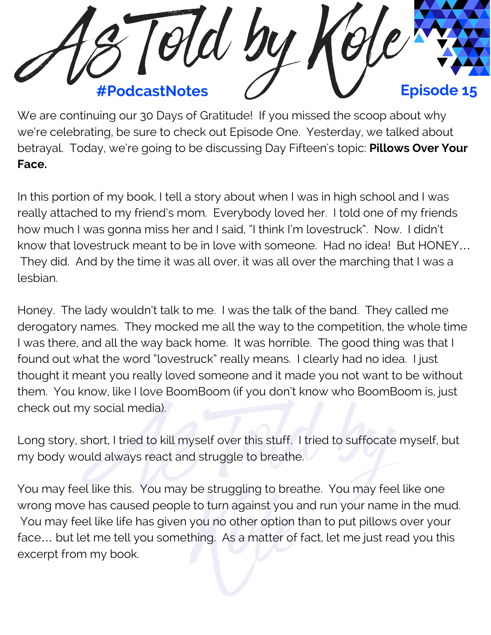

We are continuing our 30 Days of Gratitude! If you missed the scoop about why we're celebrating, be sure to check out Episode One. Yesterday, we talked about betrayal. Today, we're going to be discussing Day Fifteen's topic: **Pillows Over Your Face.**

In this portion of my book, I tell a story about when I was in high school and I was really attached to my friend's mom. Everybody loved her. I told one of my friends how much I was gonna miss her and I said, "I think I'm lovestruck". Now. I didn't know that lovestruck meant to be in love with someone. Had no idea! But HONEY… They did. And by the time it was all over, it was all over the marching that I was a lesbian.

Honey. The lady wouldn't talk to me. I was the talk of the band. They called me derogatory names. They mocked me all the way to the competition, the whole time I was there, and all the way back home. It was horrible. The good thing was that I found out what the word "lovestruck" really means. I clearly had no idea. I just thought it meant you really loved someone and it made you not want to be without them. You know, like I love BoomBoom (if you don't know who BoomBoom is, just check out my social media).

Long story, short, I tried to kill myself over this stuff. I tried to suffocate myself, but my body would always react and struggle to breathe. rt, I tried to kill myself over this stuff. I tried to suffocate<br>| always react and struggle to breathe.<br>| a this Newman has trungling to breather Newman Soal

You may feel like this. You may be struggling to breathe. You may feel like one wrong move has caused people to turn against you and run your name in the mud. You may feel like life has given you no other option than to put pillows over your<br>Face... but let me tell you something. As a matter of fact, let me just read you this<br>Excerpt from my book. face… but let me tell you something. As a matter of fact, let me just read you this excerpt from my book.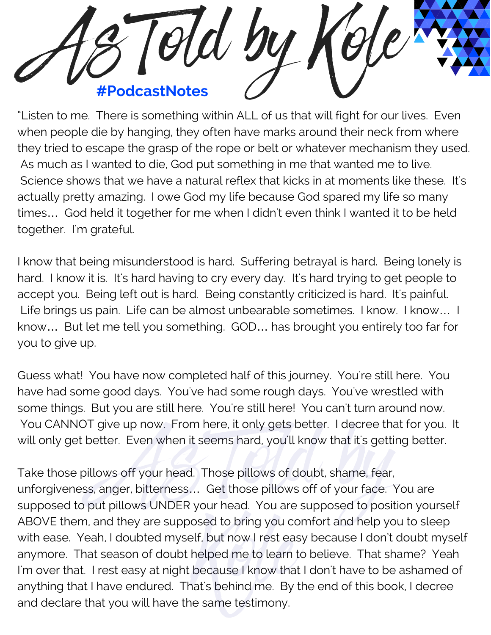

"Listen to me. There is something within ALL of us that will fight for our lives. Even when people die by hanging, they often have marks around their neck from where they tried to escape the grasp of the rope or belt or whatever mechanism they used. As much as I wanted to die, God put something in me that wanted me to live. Science shows that we have a natural reflex that kicks in at moments like these. It's actually pretty amazing. I owe God my life because God spared my life so many times… God held it together for me when I didn't even think I wanted it to be held together. I'm grateful.

I know that being misunderstood is hard. Suffering betrayal is hard. Being lonely is hard. I know it is. It's hard having to cry every day. It's hard trying to get people to accept you. Being left out is hard. Being constantly criticized is hard. It's painful. Life brings us pain. Life can be almost unbearable sometimes. I know. I know... I know… But let me tell you something. GOD… has brought you entirely too far for you to give up.

Guess what! You have now completed half of this journey. You're still here. You have had some good days. You've had some rough days. You've wrestled with some things. But you are still here. You're still here! You can't turn around now. You CANNOT give up now. From here, it only gets better. I decree that for you. It will only get better. Even when it seems hard, you'll know that it's getting better.

Take those pillows off your head. Those pillows of doubt, shame, fear, unforgiveness, anger, bitterness… Get those pillows off of your face. You are supposed to put pillows UNDER your head. You are supposed to position yourself ABOVE them, and they are supposed to bring you comfort and help you to sleep with ease. Yeah, I doubted myself, but now I rest easy because I don't doubt myself anymore. That season of doubt helped me to learn to believe. That shame? Yeah I'm over that. I rest easy at night because I know that I don't have to be ashamed of anything that I have endured. That's behind me. By the end of this book, I decree and declare that you will have the same testimony. Note: Even when it seems hard; you that we that it's gottinum.<br>As off your head. Those pillows of doubt, shame, fear,<br>Anger, bitterness... Get those pillows off of your face. Y<br>It pillows UNDER your head. You are supposed If, but now I rest ea<br>helped me to learn<br>pecause I know tha<br>at's behind me. By